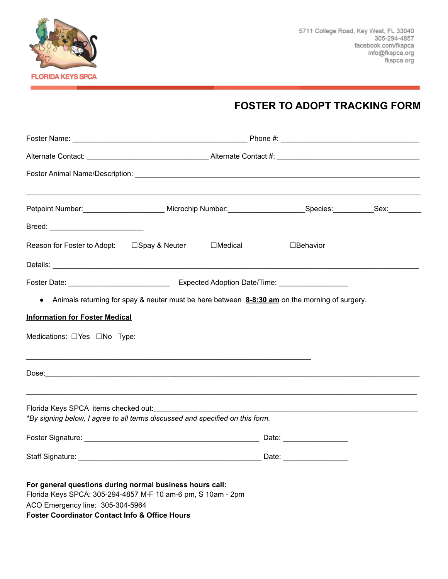

## **FOSTER TO ADOPT TRACKING FORM**

|                                                                                                                                                                                                                           | Petpoint Number:___________________________ Microchip Number:___________________Species:___________Sex:_______ |  |                                                                                               |  |
|---------------------------------------------------------------------------------------------------------------------------------------------------------------------------------------------------------------------------|----------------------------------------------------------------------------------------------------------------|--|-----------------------------------------------------------------------------------------------|--|
|                                                                                                                                                                                                                           |                                                                                                                |  |                                                                                               |  |
| Reason for Foster to Adopt: □ Spay & Neuter □ □ Medical                                                                                                                                                                   |                                                                                                                |  | □Behavior                                                                                     |  |
|                                                                                                                                                                                                                           |                                                                                                                |  |                                                                                               |  |
|                                                                                                                                                                                                                           |                                                                                                                |  |                                                                                               |  |
| $\bullet$                                                                                                                                                                                                                 |                                                                                                                |  | Animals returning for spay & neuter must be here between 8-8:30 am on the morning of surgery. |  |
| <b>Information for Foster Medical</b>                                                                                                                                                                                     |                                                                                                                |  |                                                                                               |  |
|                                                                                                                                                                                                                           |                                                                                                                |  |                                                                                               |  |
|                                                                                                                                                                                                                           |                                                                                                                |  |                                                                                               |  |
| Florida Keys SPCA items checked out: National Assembly Plorida Keys SPCA items checked out:<br>*By signing below, I agree to all terms discussed and specified on this form.                                              |                                                                                                                |  |                                                                                               |  |
|                                                                                                                                                                                                                           |                                                                                                                |  |                                                                                               |  |
| Staff Signature:                                                                                                                                                                                                          |                                                                                                                |  | Date:                                                                                         |  |
| For general questions during normal business hours call:<br>Florida Keys SPCA: 305-294-4857 M-F 10 am-6 pm, S 10am - 2pm<br>ACO Emergency line: 305-304-5964<br><b>Foster Coordinator Contact Info &amp; Office Hours</b> |                                                                                                                |  |                                                                                               |  |